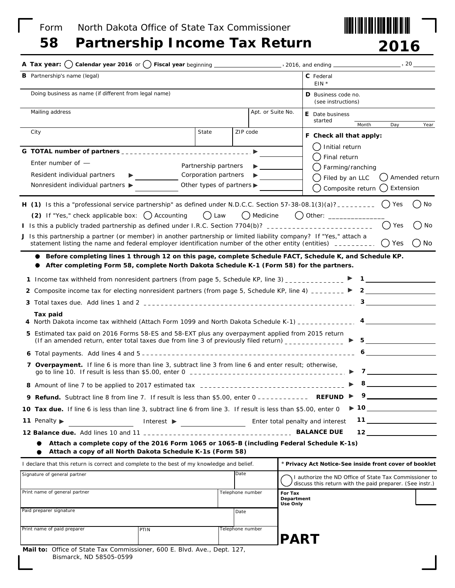Form North Dakota Office of State Tax Commissioner





| <b>B</b> Partnership's name (legal)                                                                                                                                                                                                                                                                                                                                                             |                                               |                  | C Federal<br>$EIN *$                                                                                               |                                                                                                                                                                                                                                                                                                                                                                                                                                                                       |  |
|-------------------------------------------------------------------------------------------------------------------------------------------------------------------------------------------------------------------------------------------------------------------------------------------------------------------------------------------------------------------------------------------------|-----------------------------------------------|------------------|--------------------------------------------------------------------------------------------------------------------|-----------------------------------------------------------------------------------------------------------------------------------------------------------------------------------------------------------------------------------------------------------------------------------------------------------------------------------------------------------------------------------------------------------------------------------------------------------------------|--|
| Doing business as name (if different from legal name)                                                                                                                                                                                                                                                                                                                                           | D Business code no.<br>(see instructions)     |                  |                                                                                                                    |                                                                                                                                                                                                                                                                                                                                                                                                                                                                       |  |
| Mailing address                                                                                                                                                                                                                                                                                                                                                                                 |                                               |                  | Apt. or Suite No.<br><b>E</b> Date business<br>started                                                             |                                                                                                                                                                                                                                                                                                                                                                                                                                                                       |  |
| City                                                                                                                                                                                                                                                                                                                                                                                            | State                                         | ZIP code         | Month<br>F Check all that apply:                                                                                   | Day<br>Year                                                                                                                                                                                                                                                                                                                                                                                                                                                           |  |
| G TOTAL number of partners __________________________________                                                                                                                                                                                                                                                                                                                                   |                                               | ▶                | Initial return                                                                                                     |                                                                                                                                                                                                                                                                                                                                                                                                                                                                       |  |
| Enter number of $-$                                                                                                                                                                                                                                                                                                                                                                             | Partnership partners                          |                  | Final return                                                                                                       |                                                                                                                                                                                                                                                                                                                                                                                                                                                                       |  |
| Resident individual partners                                                                                                                                                                                                                                                                                                                                                                    | Corporation partners                          |                  | Farming/ranching<br>Filed by an LLC                                                                                | Amended return                                                                                                                                                                                                                                                                                                                                                                                                                                                        |  |
| Nonresident individual partners $\blacktriangleright$                                                                                                                                                                                                                                                                                                                                           | Other types of partners $\blacktriangleright$ |                  | Composite return                                                                                                   | () Extension                                                                                                                                                                                                                                                                                                                                                                                                                                                          |  |
| H (1) Is this a "professional service partnership" as defined under N.D.C.C. Section 57-38-08.1(3)(a)? ________                                                                                                                                                                                                                                                                                 |                                               |                  |                                                                                                                    | Yes<br>(<br>No                                                                                                                                                                                                                                                                                                                                                                                                                                                        |  |
| (2) If "Yes," check applicable box: () Accounting                                                                                                                                                                                                                                                                                                                                               | $()$ Law                                      | () Medicine      |                                                                                                                    |                                                                                                                                                                                                                                                                                                                                                                                                                                                                       |  |
| I Is this a publicly traded partnership as defined under I.R.C. Section 7704(b)? _____________________________                                                                                                                                                                                                                                                                                  |                                               |                  |                                                                                                                    | Yes<br>No                                                                                                                                                                                                                                                                                                                                                                                                                                                             |  |
| J Is this partnership a partner (or member) in another partnership or limited liability company? If "Yes," attach a<br>statement listing the name and federal employer identification number of the other entity (entities) ________.                                                                                                                                                           |                                               |                  |                                                                                                                    | ()No<br>$()$ Yes                                                                                                                                                                                                                                                                                                                                                                                                                                                      |  |
| Before completing lines 1 through 12 on this page, complete Schedule FACT, Schedule K, and Schedule KP.<br>After completing Form 58, complete North Dakota Schedule K-1 (Form 58) for the partners.                                                                                                                                                                                             |                                               |                  |                                                                                                                    |                                                                                                                                                                                                                                                                                                                                                                                                                                                                       |  |
|                                                                                                                                                                                                                                                                                                                                                                                                 |                                               |                  |                                                                                                                    |                                                                                                                                                                                                                                                                                                                                                                                                                                                                       |  |
| 1 Income tax withheld from nonresident partners (from page 5, Schedule KP, line 3) ______________                                                                                                                                                                                                                                                                                               |                                               |                  |                                                                                                                    |                                                                                                                                                                                                                                                                                                                                                                                                                                                                       |  |
| 2 Composite income tax for electing nonresident partners (from page 5, Schedule KP, line 4) _______ $\triangleright$ 2                                                                                                                                                                                                                                                                          |                                               |                  |                                                                                                                    |                                                                                                                                                                                                                                                                                                                                                                                                                                                                       |  |
|                                                                                                                                                                                                                                                                                                                                                                                                 |                                               |                  |                                                                                                                    |                                                                                                                                                                                                                                                                                                                                                                                                                                                                       |  |
| Tax paid                                                                                                                                                                                                                                                                                                                                                                                        |                                               |                  |                                                                                                                    |                                                                                                                                                                                                                                                                                                                                                                                                                                                                       |  |
| 5 Estimated tax paid on 2016 Forms 58-ES and 58-EXT plus any overpayment applied from 2015 return<br>(If an amended return, enter total taxes due from line 3 of previously filed return) _____________                                                                                                                                                                                         |                                               |                  |                                                                                                                    | $5$ $\overline{\phantom{a}}$ $\overline{\phantom{a}}$ $\overline{\phantom{a}}$ $\overline{\phantom{a}}$ $\overline{\phantom{a}}$ $\overline{\phantom{a}}$ $\overline{\phantom{a}}$ $\overline{\phantom{a}}$ $\overline{\phantom{a}}$ $\overline{\phantom{a}}$ $\overline{\phantom{a}}$ $\overline{\phantom{a}}$ $\overline{\phantom{a}}$ $\overline{\phantom{a}}$ $\overline{\phantom{a}}$ $\overline{\phantom{a}}$ $\overline{\phantom{a}}$ $\overline{\phantom{a}}$ |  |
|                                                                                                                                                                                                                                                                                                                                                                                                 |                                               |                  |                                                                                                                    | $\epsilon$                                                                                                                                                                                                                                                                                                                                                                                                                                                            |  |
| 7 Overpayment. If line 6 is more than line 3, subtract line 3 from line 6 and enter result; otherwise,<br>go to line 10. If result is less than \$5.00, enter 0 $\frac{1}{2}$ = $\frac{1}{2}$ = $\frac{1}{2}$ = $\frac{1}{2}$ = $\frac{1}{2}$ = $\frac{1}{2}$ = $\frac{1}{2}$ = $\frac{1}{2}$ = $\frac{1}{2}$ = $\frac{1}{2}$ = $\frac{1}{2}$ = $\frac{1}{2}$ = $\frac{1}{2}$ = $\frac{1}{2}$ = |                                               |                  |                                                                                                                    | $\overline{7}$ , and $\overline{7}$ , and $\overline{7}$ , and $\overline{7}$ , and $\overline{7}$ , and $\overline{7}$ , and $\overline{7}$ , and $\overline{7}$ , and $\overline{7}$ , and $\overline{7}$ , and $\overline{7}$ , and $\overline{7}$ , and $\overline{7}$ , and $\overline{7}$ , and $\overline{7}$ ,                                                                                                                                                |  |
|                                                                                                                                                                                                                                                                                                                                                                                                 |                                               |                  |                                                                                                                    | $8 \pm 1$                                                                                                                                                                                                                                                                                                                                                                                                                                                             |  |
| 9 Refund. Subtract line 8 from line 7. If result is less than \$5.00, enter 0 -----------                                                                                                                                                                                                                                                                                                       |                                               |                  | 9<br><b>REFUND ▶</b>                                                                                               |                                                                                                                                                                                                                                                                                                                                                                                                                                                                       |  |
| 10 Tax due. If line 6 is less than line 3, subtract line 6 from line 3. If result is less than \$5.00, enter 0                                                                                                                                                                                                                                                                                  |                                               |                  |                                                                                                                    | $\blacktriangleright$ 10                                                                                                                                                                                                                                                                                                                                                                                                                                              |  |
| 11 Penalty                                                                                                                                                                                                                                                                                                                                                                                      | Interest $\triangleright$                     |                  | Enter total penalty and interest                                                                                   | $11$ <u>__________________</u>                                                                                                                                                                                                                                                                                                                                                                                                                                        |  |
|                                                                                                                                                                                                                                                                                                                                                                                                 |                                               |                  | <b>BALANCE DUE</b>                                                                                                 | $12$ and $12$ and $12$ and $12$ and $12$ and $12$ and $12$ and $12$ and $12$ and $12$ and $12$ and $12$ and $12$ and $12$ and $12$ and $12$ and $12$ and $12$ and $12$ and $12$ and $12$ and $12$ and $12$ and $12$ and $12$                                                                                                                                                                                                                                          |  |
| Attach a complete copy of the 2016 Form 1065 or 1065-B (including Federal Schedule K-1s)<br>Attach a copy of all North Dakota Schedule K-1s (Form 58)                                                                                                                                                                                                                                           |                                               |                  |                                                                                                                    |                                                                                                                                                                                                                                                                                                                                                                                                                                                                       |  |
| I declare that this return is correct and complete to the best of my knowledge and belief.                                                                                                                                                                                                                                                                                                      |                                               |                  | * Privacy Act Notice-See inside front cover of booklet                                                             |                                                                                                                                                                                                                                                                                                                                                                                                                                                                       |  |
| Signature of general partner                                                                                                                                                                                                                                                                                                                                                                    |                                               | Date             | I authorize the ND Office of State Tax Commissioner to<br>discuss this return with the paid preparer. (See instr.) |                                                                                                                                                                                                                                                                                                                                                                                                                                                                       |  |
| Print name of general partner                                                                                                                                                                                                                                                                                                                                                                   |                                               | Telephone number | For Tax<br>Department                                                                                              |                                                                                                                                                                                                                                                                                                                                                                                                                                                                       |  |
| Paid preparer signature                                                                                                                                                                                                                                                                                                                                                                         |                                               | Date             | Use Only                                                                                                           |                                                                                                                                                                                                                                                                                                                                                                                                                                                                       |  |
| Print name of paid preparer<br>PTIN                                                                                                                                                                                                                                                                                                                                                             |                                               | Telephone number |                                                                                                                    |                                                                                                                                                                                                                                                                                                                                                                                                                                                                       |  |
|                                                                                                                                                                                                                                                                                                                                                                                                 |                                               |                  | <b>PART</b>                                                                                                        |                                                                                                                                                                                                                                                                                                                                                                                                                                                                       |  |
| Mail to: Office of State Tax Commissioner, 600 E. Blvd. Ave., Dept. 127,<br>Bismarck, ND 58505-0599                                                                                                                                                                                                                                                                                             |                                               |                  |                                                                                                                    |                                                                                                                                                                                                                                                                                                                                                                                                                                                                       |  |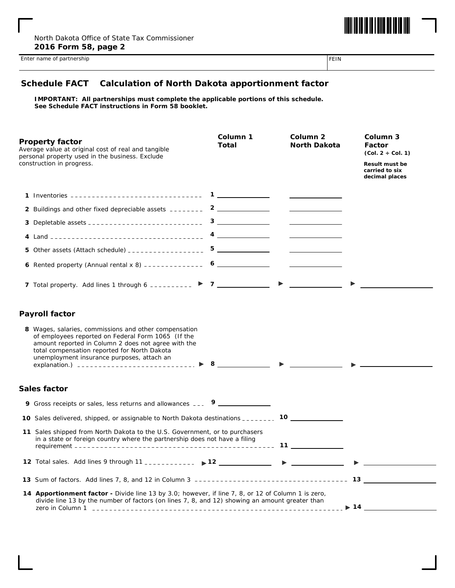

Enter name of partnership FEIN

## **Schedule FACT Calculation of North Dakota apportionment factor**

**IMPORTANT: All partnerships must complete the applicable portions of this schedule. See Schedule FACT instructions in Form 58 booklet.**

| <b>Property factor</b><br>Average value at original cost of real and tangible<br>personal property used in the business. Exclude                                                                                                                                 | Column 1<br>Total |                       | Column <sub>2</sub><br><b>North Dakota</b>                                                                                                                                                                                           |  | Column 3<br>Factor<br>$(Col. 2 + Col. 1)$                 |  |  |
|------------------------------------------------------------------------------------------------------------------------------------------------------------------------------------------------------------------------------------------------------------------|-------------------|-----------------------|--------------------------------------------------------------------------------------------------------------------------------------------------------------------------------------------------------------------------------------|--|-----------------------------------------------------------|--|--|
| construction in progress.                                                                                                                                                                                                                                        |                   |                       |                                                                                                                                                                                                                                      |  | <b>Result must be</b><br>carried to six<br>decimal places |  |  |
|                                                                                                                                                                                                                                                                  |                   |                       |                                                                                                                                                                                                                                      |  |                                                           |  |  |
| 2 Buildings and other fixed depreciable assets ________ 2 ____________                                                                                                                                                                                           |                   |                       | <u>and the company of the company of the company of the company of the company of the company of the company of the company of the company of the company of the company of the company of the company of the company of the com</u> |  |                                                           |  |  |
|                                                                                                                                                                                                                                                                  |                   |                       | <u> The Communication of the Communication</u>                                                                                                                                                                                       |  |                                                           |  |  |
|                                                                                                                                                                                                                                                                  |                   |                       |                                                                                                                                                                                                                                      |  |                                                           |  |  |
|                                                                                                                                                                                                                                                                  |                   |                       | <u> 1990 - Johann Barbara, martin a</u>                                                                                                                                                                                              |  |                                                           |  |  |
| 6 Rented property (Annual rental x 8) -------------- 6                                                                                                                                                                                                           |                   |                       |                                                                                                                                                                                                                                      |  |                                                           |  |  |
| 7 Total property. Add lines 1 through 6 __________ $\triangleright$ 7 ___________                                                                                                                                                                                |                   | $\blacktriangleright$ |                                                                                                                                                                                                                                      |  |                                                           |  |  |
| <b>Payroll factor</b>                                                                                                                                                                                                                                            |                   |                       |                                                                                                                                                                                                                                      |  |                                                           |  |  |
| 8 Wages, salaries, commissions and other compensation<br>of employees reported on Federal Form 1065 (If the<br>amount reported in Column 2 does not agree with the<br>total compensation reported for North Dakota<br>unemployment insurance purposes, attach an |                   |                       |                                                                                                                                                                                                                                      |  |                                                           |  |  |
| Sales factor                                                                                                                                                                                                                                                     |                   |                       |                                                                                                                                                                                                                                      |  |                                                           |  |  |
| 9 Gross receipts or sales, less returns and allowances ____ 9 _____________                                                                                                                                                                                      |                   |                       |                                                                                                                                                                                                                                      |  |                                                           |  |  |
| 10 Sales delivered, shipped, or assignable to North Dakota destinations _________ 10 ______________                                                                                                                                                              |                   |                       |                                                                                                                                                                                                                                      |  |                                                           |  |  |
| 11 Sales shipped from North Dakota to the U.S. Government, or to purchasers<br>in a state or foreign country where the partnership does not have a filing                                                                                                        |                   |                       |                                                                                                                                                                                                                                      |  |                                                           |  |  |
| 12 Total sales. Add lines 9 through 11 ___________ > 12 ___________ > _________                                                                                                                                                                                  |                   |                       |                                                                                                                                                                                                                                      |  |                                                           |  |  |
|                                                                                                                                                                                                                                                                  |                   |                       |                                                                                                                                                                                                                                      |  |                                                           |  |  |
| 14 Apportionment factor - Divide line 13 by 3.0; however, if line 7, 8, or 12 of Column 1 is zero,<br>divide line 13 by the number of factors (on lines 7, 8, and 12) showing an amount greater than<br>$\blacktriangleright$ 14 $\blacksquare$                  |                   |                       |                                                                                                                                                                                                                                      |  |                                                           |  |  |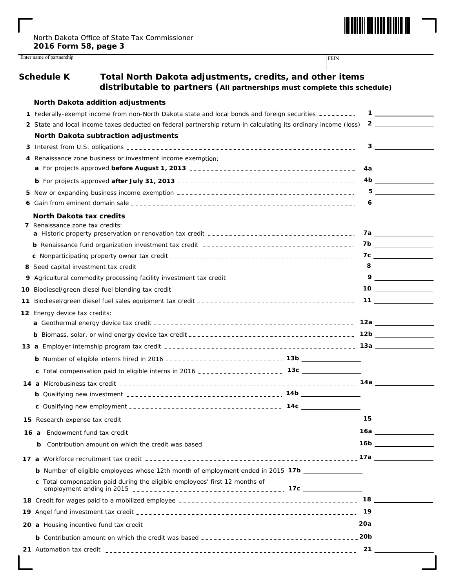

|     | <b>Schedule K</b>               | Total North Dakota adjustments, credits, and other items<br>distributable to partners (All partnerships must complete this schedule) |     |                                                                  |
|-----|---------------------------------|--------------------------------------------------------------------------------------------------------------------------------------|-----|------------------------------------------------------------------|
|     |                                 | North Dakota addition adjustments                                                                                                    |     |                                                                  |
| 1   |                                 | Federally-exempt income from non-North Dakota state and local bonds and foreign securities ---------                                 |     | $\mathbf{1}$ $\qquad \qquad$                                     |
|     |                                 | 2 State and local income taxes deducted on federal partnership return in calculating its ordinary income (loss)                      |     | $\overline{\mathbf{2}}$ , and the set of $\overline{\mathbf{2}}$ |
|     |                                 | North Dakota subtraction adjustments                                                                                                 |     |                                                                  |
|     |                                 |                                                                                                                                      |     | $3 \quad \overline{\quad}$                                       |
| 4   |                                 | Renaissance zone business or investment income exemption:                                                                            |     |                                                                  |
|     |                                 |                                                                                                                                      |     |                                                                  |
|     |                                 |                                                                                                                                      |     | 4b                                                               |
| 5   |                                 |                                                                                                                                      |     |                                                                  |
| 6   |                                 |                                                                                                                                      |     | $6 \underline{\hspace{1cm}}$                                     |
|     | <b>North Dakota tax credits</b> |                                                                                                                                      |     |                                                                  |
|     | 7 Renaissance zone tax credits: |                                                                                                                                      |     |                                                                  |
|     |                                 |                                                                                                                                      |     | 7b ________________                                              |
|     |                                 |                                                                                                                                      |     | $7c \overline{\phantom{a}}$                                      |
|     |                                 |                                                                                                                                      |     | $8 \underline{\hspace{1cm}}$                                     |
| 9   |                                 | Agricultural commodity processing facility investment tax credit ___________________________________                                 |     | $9 \qquad \qquad$                                                |
| 10. |                                 |                                                                                                                                      |     |                                                                  |
| 11  |                                 |                                                                                                                                      |     |                                                                  |
|     | 12 Energy device tax credits:   |                                                                                                                                      |     |                                                                  |
|     |                                 |                                                                                                                                      |     | 12a ________________                                             |
|     |                                 |                                                                                                                                      |     |                                                                  |
|     |                                 |                                                                                                                                      |     |                                                                  |
|     |                                 |                                                                                                                                      |     |                                                                  |
|     |                                 |                                                                                                                                      |     |                                                                  |
|     |                                 |                                                                                                                                      |     |                                                                  |
|     |                                 |                                                                                                                                      | 14b |                                                                  |
|     |                                 |                                                                                                                                      |     |                                                                  |
|     |                                 |                                                                                                                                      |     |                                                                  |
|     |                                 |                                                                                                                                      |     |                                                                  |
|     |                                 |                                                                                                                                      |     |                                                                  |
|     | b                               |                                                                                                                                      |     |                                                                  |
|     |                                 |                                                                                                                                      |     |                                                                  |
|     |                                 | <b>b</b> Number of eligible employees whose 12th month of employment ended in 2015 17b                                               |     |                                                                  |
|     |                                 | c Total compensation paid during the eligible employees' first 12 months of                                                          |     |                                                                  |
|     |                                 |                                                                                                                                      |     |                                                                  |
|     |                                 |                                                                                                                                      |     |                                                                  |
|     |                                 |                                                                                                                                      |     |                                                                  |
|     |                                 |                                                                                                                                      |     |                                                                  |
|     |                                 |                                                                                                                                      |     |                                                                  |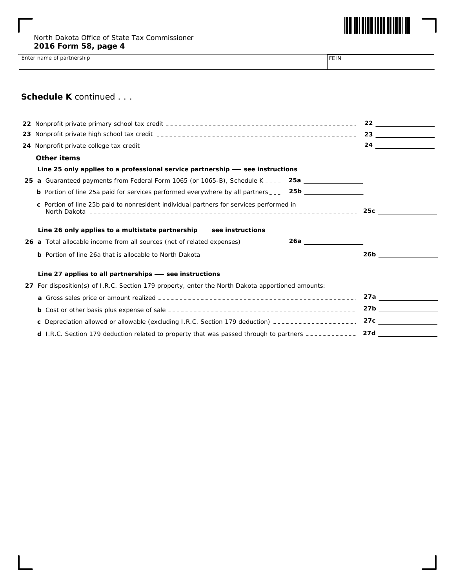

Enter name of partnership FEIN

## **Schedule K** *continued . . .*

|    | Other items                                                                                              |                          |
|----|----------------------------------------------------------------------------------------------------------|--------------------------|
|    | Line 25 only applies to a professional service partnership $-$ see instructions                          |                          |
|    | 25 a Guaranteed payments from Federal Form 1065 (or 1065-B), Schedule K ____ 25a ____________            |                          |
|    | <b>b</b> Portion of line 25a paid for services performed everywhere by all partners ___ 25b ____________ |                          |
|    | c Portion of line 25b paid to nonresident individual partners for services performed in                  | 25c <u>_____________</u> |
|    | Line 26 only applies to a multistate partnership — see instructions                                      |                          |
|    | 26 a Total allocable income from all sources (net of related expenses) __________ 26a ______________     |                          |
|    |                                                                                                          | 26b                      |
|    | Line 27 applies to all partnerships - see instructions                                                   |                          |
| 27 | For disposition(s) of I.R.C. Section 179 property, enter the North Dakota apportioned amounts:           |                          |
|    |                                                                                                          | 27a                      |
|    |                                                                                                          |                          |
|    | c Depreciation allowed or allowable (excluding I.R.C. Section 179 deduction) ____________________        |                          |
|    | d I.R.C. Section 179 deduction related to property that was passed through to partners -----------       | 27d                      |
|    |                                                                                                          |                          |